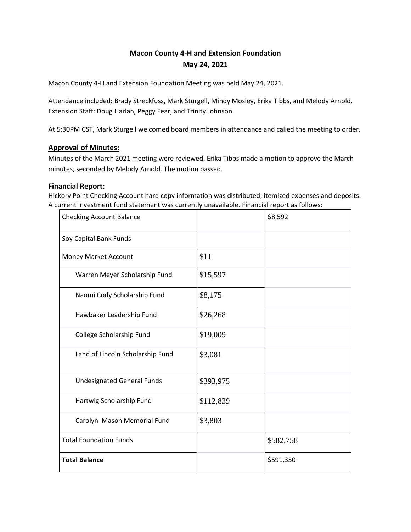# **Macon County 4-H and Extension Foundation May 24, 2021**

Macon County 4-H and Extension Foundation Meeting was held May 24, 2021.

Attendance included: Brady Streckfuss, Mark Sturgell, Mindy Mosley, Erika Tibbs, and Melody Arnold. Extension Staff: Doug Harlan, Peggy Fear, and Trinity Johnson.

At 5:30PM CST, Mark Sturgell welcomed board members in attendance and called the meeting to order.

# **Approval of Minutes:**

Minutes of the March 2021 meeting were reviewed. Erika Tibbs made a motion to approve the March minutes, seconded by Melody Arnold. The motion passed.

# **Financial Report:**

Hickory Point Checking Account hard copy information was distributed; itemized expenses and deposits. A current investment fund statement was currently unavailable. Financial report as follows:

| <b>Checking Account Balance</b>   |           | \$8,592   |
|-----------------------------------|-----------|-----------|
| Soy Capital Bank Funds            |           |           |
| Money Market Account              | \$11      |           |
| Warren Meyer Scholarship Fund     | \$15,597  |           |
| Naomi Cody Scholarship Fund       | \$8,175   |           |
| Hawbaker Leadership Fund          | \$26,268  |           |
| College Scholarship Fund          | \$19,009  |           |
| Land of Lincoln Scholarship Fund  | \$3,081   |           |
| <b>Undesignated General Funds</b> | \$393,975 |           |
| Hartwig Scholarship Fund          | \$112,839 |           |
| Carolyn Mason Memorial Fund       | \$3,803   |           |
| <b>Total Foundation Funds</b>     |           | \$582,758 |
| <b>Total Balance</b>              |           | \$591,350 |